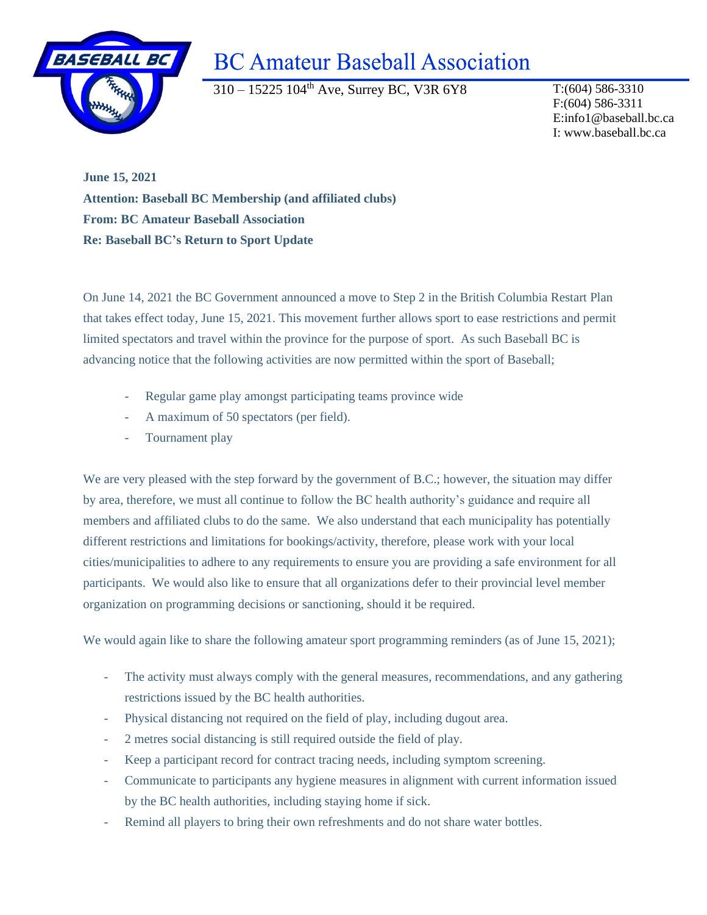

## **BC Amateur Baseball Association**

310 – 15225 104th Ave, Surrey BC, V3R 6Y8 T:(604) 586-3310

F:(604) 586-3311 E:info1@baseball.bc.ca I: www.baseball.bc.ca

**June 15, 2021 Attention: Baseball BC Membership (and affiliated clubs) From: BC Amateur Baseball Association Re: Baseball BC's Return to Sport Update**

On June 14, 2021 the BC Government announced a move to Step 2 in the British Columbia Restart Plan that takes effect today, June 15, 2021. This movement further allows sport to ease restrictions and permit limited spectators and travel within the province for the purpose of sport. As such Baseball BC is advancing notice that the following activities are now permitted within the sport of Baseball;

- Regular game play amongst participating teams province wide
- A maximum of 50 spectators (per field).
- Tournament play

We are very pleased with the step forward by the government of B.C.; however, the situation may differ by area, therefore, we must all continue to follow the BC health authority's guidance and require all members and affiliated clubs to do the same. We also understand that each municipality has potentially different restrictions and limitations for bookings/activity, therefore, please work with your local cities/municipalities to adhere to any requirements to ensure you are providing a safe environment for all participants. We would also like to ensure that all organizations defer to their provincial level member organization on programming decisions or sanctioning, should it be required.

We would again like to share the following amateur sport programming reminders (as of June 15, 2021);

- The activity must always comply with the general measures, recommendations, and any gathering restrictions issued by the BC health authorities.
- Physical distancing not required on the field of play, including dugout area.
- 2 metres social distancing is still required outside the field of play.
- Keep a participant record for contract tracing needs, including symptom screening.
- Communicate to participants any hygiene measures in alignment with current information issued by the BC health authorities, including staying home if sick.
- Remind all players to bring their own refreshments and do not share water bottles.